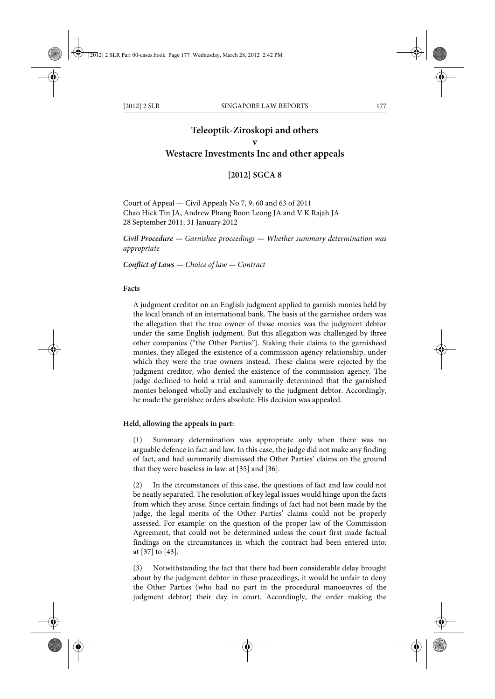# **Teleoptik-Ziroskopi and others v Westacre Investments Inc and other appeals**

# **[2012] SGCA 8**

Court of Appeal — Civil Appeals No 7, 9, 60 and 63 of 2011 Chao Hick Tin JA, Andrew Phang Boon Leong JA and V K Rajah JA 28 September 2011; 31 January 2012

*Civil Procedure — Garnishee proceedings — Whether summary determination was appropriate*

*Conflict of Laws — Choice of law — Contract*

### **Facts**

A judgment creditor on an English judgment applied to garnish monies held by the local branch of an international bank. The basis of the garnishee orders was the allegation that the true owner of those monies was the judgment debtor under the same English judgment. But this allegation was challenged by three other companies ("the Other Parties"). Staking their claims to the garnisheed monies, they alleged the existence of a commission agency relationship, under which they were the true owners instead. These claims were rejected by the judgment creditor, who denied the existence of the commission agency. The judge declined to hold a trial and summarily determined that the garnished monies belonged wholly and exclusively to the judgment debtor. Accordingly, he made the garnishee orders absolute. His decision was appealed.

#### **Held, allowing the appeals in part:**

(1) Summary determination was appropriate only when there was no arguable defence in fact and law. In this case, the judge did not make any finding of fact, and had summarily dismissed the Other Parties' claims on the ground that they were baseless in law: at [35] and [36].

(2) In the circumstances of this case, the questions of fact and law could not be neatly separated. The resolution of key legal issues would hinge upon the facts from which they arose. Since certain findings of fact had not been made by the judge, the legal merits of the Other Parties' claims could not be properly assessed. For example: on the question of the proper law of the Commission Agreement, that could not be determined unless the court first made factual findings on the circumstances in which the contract had been entered into: at [37] to [43].

(3) Notwithstanding the fact that there had been considerable delay brought about by the judgment debtor in these proceedings, it would be unfair to deny the Other Parties (who had no part in the procedural manoeuvres of the judgment debtor) their day in court. Accordingly, the order making the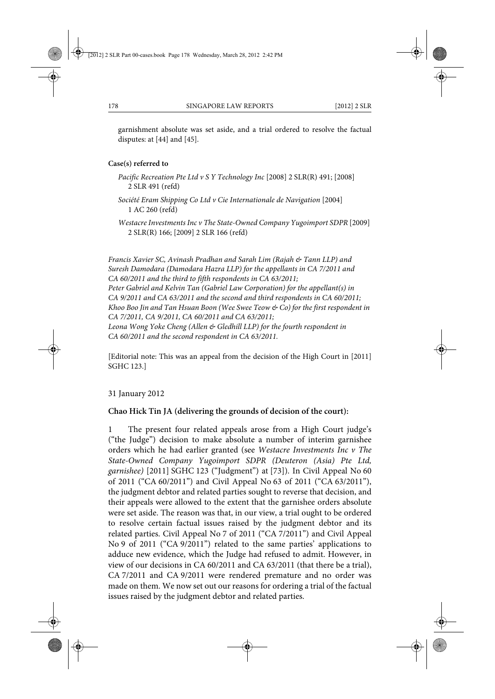garnishment absolute was set aside, and a trial ordered to resolve the factual disputes: at [44] and [45].

### **Case(s) referred to**

- *Pacific Recreation Pte Ltd v S Y Technology Inc* [2008] 2 SLR(R) 491; [2008] 2 SLR 491 (refd)
- *Société Eram Shipping Co Ltd v Cie Internationale de Navigation* [2004] 1 AC 260 (refd)
- *Westacre Investments Inc v The State-Owned Company Yugoimport SDPR* [2009] 2 SLR(R) 166; [2009] 2 SLR 166 (refd)

*Francis Xavier SC, Avinash Pradhan and Sarah Lim (Rajah & Tann LLP) and Suresh Damodara (Damodara Hazra LLP) for the appellants in CA 7/2011 and CA 60/2011 and the third to fifth respondents in CA 63/2011; Peter Gabriel and Kelvin Tan (Gabriel Law Corporation) for the appellant(s) in CA 9/2011 and CA 63/2011 and the second and third respondents in CA 60/2011; Khoo Boo Jin and Tan Hsuan Boon (Wee Swee Teow & Co) for the first respondent in CA 7/2011, CA 9/2011, CA 60/2011 and CA 63/2011; Leona Wong Yoke Cheng (Allen & Gledhill LLP) for the fourth respondent in CA 60/2011 and the second respondent in CA 63/2011.*

[Editorial note: This was an appeal from the decision of the High Court in [2011] SGHC 123.]

31 January 2012

### **Chao Hick Tin JA (delivering the grounds of decision of the court):**

1 The present four related appeals arose from a High Court judge's ("the Judge") decision to make absolute a number of interim garnishee orders which he had earlier granted (see *Westacre Investments Inc v The State-Owned Company Yugoimport SDPR (Deuteron (Asia) Pte Ltd, garnishee)* [2011] SGHC 123 ("Judgment") at [73]). In Civil Appeal No 60 of 2011 ("CA 60/2011") and Civil Appeal No 63 of 2011 ("CA 63/2011"), the judgment debtor and related parties sought to reverse that decision, and their appeals were allowed to the extent that the garnishee orders absolute were set aside. The reason was that, in our view, a trial ought to be ordered to resolve certain factual issues raised by the judgment debtor and its related parties. Civil Appeal No 7 of 2011 ("CA 7/2011") and Civil Appeal No 9 of 2011 ("CA 9/2011") related to the same parties' applications to adduce new evidence, which the Judge had refused to admit. However, in view of our decisions in CA 60/2011 and CA 63/2011 (that there be a trial), CA 7/2011 and CA 9/2011 were rendered premature and no order was made on them. We now set out our reasons for ordering a trial of the factual issues raised by the judgment debtor and related parties.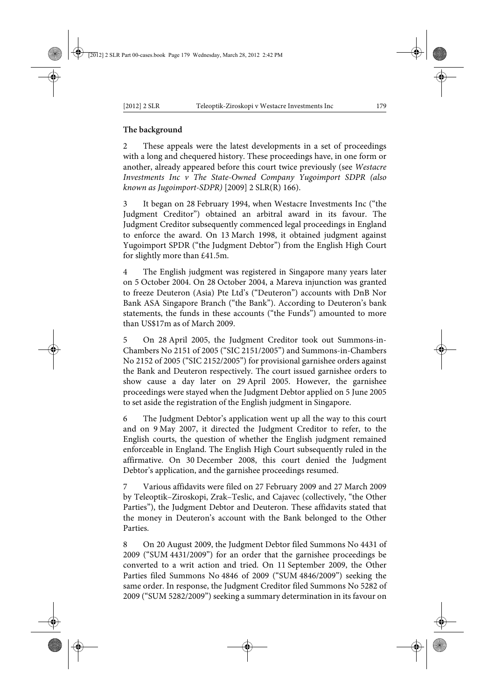# **The background**

2 These appeals were the latest developments in a set of proceedings with a long and chequered history. These proceedings have, in one form or another, already appeared before this court twice previously (see *Westacre Investments Inc v The State-Owned Company Yugoimport SDPR (also known as Jugoimport-SDPR)* [2009] 2 SLR(R) 166).

3 It began on 28 February 1994, when Westacre Investments Inc ("the Judgment Creditor") obtained an arbitral award in its favour. The Judgment Creditor subsequently commenced legal proceedings in England to enforce the award. On 13 March 1998, it obtained judgment against Yugoimport SPDR ("the Judgment Debtor") from the English High Court for slightly more than £41.5m.

The English judgment was registered in Singapore many years later on 5 October 2004. On 28 October 2004, a Mareva injunction was granted to freeze Deuteron (Asia) Pte Ltd's ("Deuteron") accounts with DnB Nor Bank ASA Singapore Branch ("the Bank"). According to Deuteron's bank statements, the funds in these accounts ("the Funds") amounted to more than US\$17m as of March 2009.

5 On 28 April 2005, the Judgment Creditor took out Summons-in-Chambers No 2151 of 2005 ("SIC 2151/2005") and Summons-in-Chambers No 2152 of 2005 ("SIC 2152/2005") for provisional garnishee orders against the Bank and Deuteron respectively. The court issued garnishee orders to show cause a day later on 29 April 2005. However, the garnishee proceedings were stayed when the Judgment Debtor applied on 5 June 2005 to set aside the registration of the English judgment in Singapore.

6 The Judgment Debtor's application went up all the way to this court and on 9 May 2007, it directed the Judgment Creditor to refer, to the English courts, the question of whether the English judgment remained enforceable in England. The English High Court subsequently ruled in the affirmative. On 30 December 2008, this court denied the Judgment Debtor's application, and the garnishee proceedings resumed.

7 Various affidavits were filed on 27 February 2009 and 27 March 2009 by Teleoptik–Ziroskopi, Zrak–Teslic, and Cajavec (collectively, "the Other Parties"), the Judgment Debtor and Deuteron. These affidavits stated that the money in Deuteron's account with the Bank belonged to the Other Parties.

8 On 20 August 2009, the Judgment Debtor filed Summons No 4431 of 2009 ("SUM 4431/2009") for an order that the garnishee proceedings be converted to a writ action and tried. On 11 September 2009, the Other Parties filed Summons No 4846 of 2009 ("SUM 4846/2009") seeking the same order. In response, the Judgment Creditor filed Summons No 5282 of 2009 ("SUM 5282/2009") seeking a summary determination in its favour on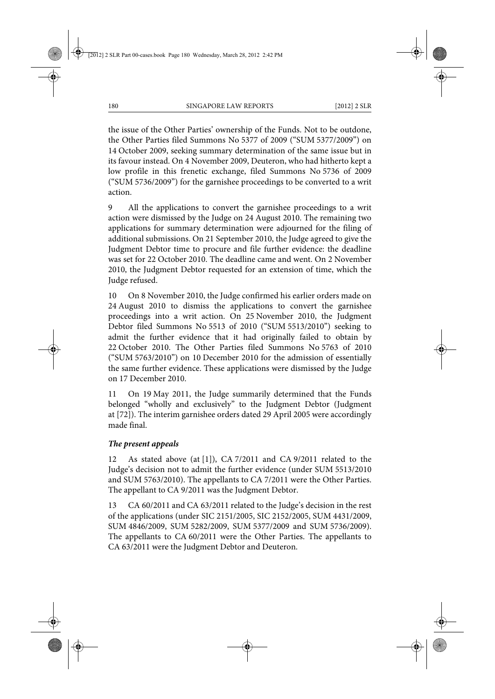the issue of the Other Parties' ownership of the Funds. Not to be outdone, the Other Parties filed Summons No 5377 of 2009 ("SUM 5377/2009") on 14 October 2009, seeking summary determination of the same issue but in its favour instead. On 4 November 2009, Deuteron, who had hitherto kept a low profile in this frenetic exchange, filed Summons No 5736 of 2009 ("SUM 5736/2009") for the garnishee proceedings to be converted to a writ action.

9 All the applications to convert the garnishee proceedings to a writ action were dismissed by the Judge on 24 August 2010. The remaining two applications for summary determination were adjourned for the filing of additional submissions. On 21 September 2010, the Judge agreed to give the Judgment Debtor time to procure and file further evidence: the deadline was set for 22 October 2010. The deadline came and went. On 2 November 2010, the Judgment Debtor requested for an extension of time, which the Judge refused.

10 On 8 November 2010, the Judge confirmed his earlier orders made on 24 August 2010 to dismiss the applications to convert the garnishee proceedings into a writ action. On 25 November 2010, the Judgment Debtor filed Summons No 5513 of 2010 ("SUM 5513/2010") seeking to admit the further evidence that it had originally failed to obtain by 22 October 2010. The Other Parties filed Summons No 5763 of 2010 ("SUM 5763/2010") on 10 December 2010 for the admission of essentially the same further evidence. These applications were dismissed by the Judge on 17 December 2010.

11 On 19 May 2011, the Judge summarily determined that the Funds belonged "wholly and exclusively" to the Judgment Debtor (Judgment at [72]). The interim garnishee orders dated 29 April 2005 were accordingly made final.

# *The present appeals*

12 As stated above (at [1]), CA 7/2011 and CA 9/2011 related to the Judge's decision not to admit the further evidence (under SUM 5513/2010 and SUM 5763/2010). The appellants to CA 7/2011 were the Other Parties. The appellant to CA 9/2011 was the Judgment Debtor.

13 CA 60/2011 and CA 63/2011 related to the Judge's decision in the rest of the applications (under SIC 2151/2005, SIC 2152/2005, SUM 4431/2009, SUM 4846/2009, SUM 5282/2009, SUM 5377/2009 and SUM 5736/2009). The appellants to CA 60/2011 were the Other Parties. The appellants to CA 63/2011 were the Judgment Debtor and Deuteron.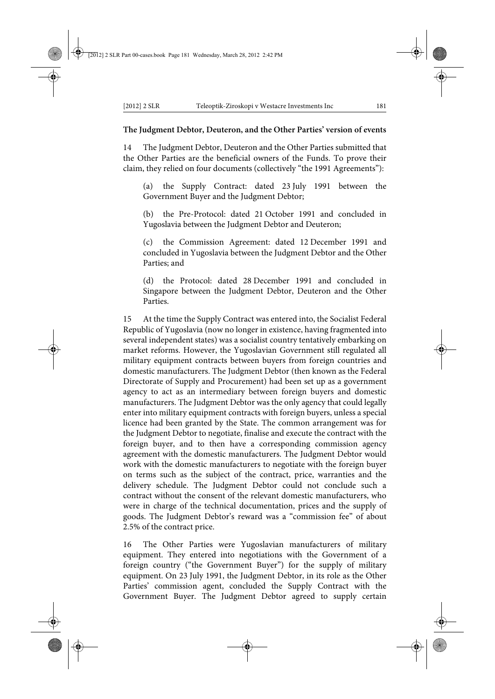### **The Judgment Debtor, Deuteron, and the Other Parties' version of events**

14 The Judgment Debtor, Deuteron and the Other Parties submitted that the Other Parties are the beneficial owners of the Funds. To prove their claim, they relied on four documents (collectively "the 1991 Agreements"):

(a) the Supply Contract: dated 23 July 1991 between the Government Buyer and the Judgment Debtor;

(b) the Pre-Protocol: dated 21 October 1991 and concluded in Yugoslavia between the Judgment Debtor and Deuteron;

(c) the Commission Agreement: dated 12 December 1991 and concluded in Yugoslavia between the Judgment Debtor and the Other Parties; and

(d) the Protocol: dated 28 December 1991 and concluded in Singapore between the Judgment Debtor, Deuteron and the Other Parties.

15 At the time the Supply Contract was entered into, the Socialist Federal Republic of Yugoslavia (now no longer in existence, having fragmented into several independent states) was a socialist country tentatively embarking on market reforms. However, the Yugoslavian Government still regulated all military equipment contracts between buyers from foreign countries and domestic manufacturers. The Judgment Debtor (then known as the Federal Directorate of Supply and Procurement) had been set up as a government agency to act as an intermediary between foreign buyers and domestic manufacturers. The Judgment Debtor was the only agency that could legally enter into military equipment contracts with foreign buyers, unless a special licence had been granted by the State. The common arrangement was for the Judgment Debtor to negotiate, finalise and execute the contract with the foreign buyer, and to then have a corresponding commission agency agreement with the domestic manufacturers. The Judgment Debtor would work with the domestic manufacturers to negotiate with the foreign buyer on terms such as the subject of the contract, price, warranties and the delivery schedule. The Judgment Debtor could not conclude such a contract without the consent of the relevant domestic manufacturers, who were in charge of the technical documentation, prices and the supply of goods. The Judgment Debtor's reward was a "commission fee" of about 2.5% of the contract price.

16 The Other Parties were Yugoslavian manufacturers of military equipment. They entered into negotiations with the Government of a foreign country ("the Government Buyer") for the supply of military equipment. On 23 July 1991, the Judgment Debtor, in its role as the Other Parties' commission agent, concluded the Supply Contract with the Government Buyer. The Judgment Debtor agreed to supply certain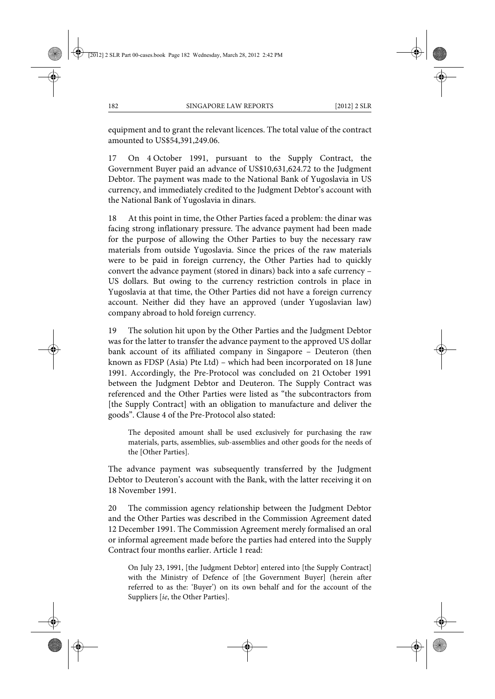equipment and to grant the relevant licences. The total value of the contract amounted to US\$54,391,249.06.

17 On 4 October 1991, pursuant to the Supply Contract, the Government Buyer paid an advance of US\$10,631,624.72 to the Judgment Debtor. The payment was made to the National Bank of Yugoslavia in US currency, and immediately credited to the Judgment Debtor's account with the National Bank of Yugoslavia in dinars.

18 At this point in time, the Other Parties faced a problem: the dinar was facing strong inflationary pressure. The advance payment had been made for the purpose of allowing the Other Parties to buy the necessary raw materials from outside Yugoslavia. Since the prices of the raw materials were to be paid in foreign currency, the Other Parties had to quickly convert the advance payment (stored in dinars) back into a safe currency – US dollars. But owing to the currency restriction controls in place in Yugoslavia at that time, the Other Parties did not have a foreign currency account. Neither did they have an approved (under Yugoslavian law) company abroad to hold foreign currency.

19 The solution hit upon by the Other Parties and the Judgment Debtor was for the latter to transfer the advance payment to the approved US dollar bank account of its affiliated company in Singapore – Deuteron (then known as FDSP (Asia) Pte Ltd) – which had been incorporated on 18 June 1991. Accordingly, the Pre-Protocol was concluded on 21 October 1991 between the Judgment Debtor and Deuteron. The Supply Contract was referenced and the Other Parties were listed as "the subcontractors from [the Supply Contract] with an obligation to manufacture and deliver the goods". Clause 4 of the Pre-Protocol also stated:

The deposited amount shall be used exclusively for purchasing the raw materials, parts, assemblies, sub-assemblies and other goods for the needs of the [Other Parties].

The advance payment was subsequently transferred by the Judgment Debtor to Deuteron's account with the Bank, with the latter receiving it on 18 November 1991.

20 The commission agency relationship between the Judgment Debtor and the Other Parties was described in the Commission Agreement dated 12 December 1991. The Commission Agreement merely formalised an oral or informal agreement made before the parties had entered into the Supply Contract four months earlier. Article 1 read:

On July 23, 1991, [the Judgment Debtor] entered into [the Supply Contract] with the Ministry of Defence of [the Government Buyer] (herein after referred to as the: 'Buyer') on its own behalf and for the account of the Suppliers [*ie*, the Other Parties].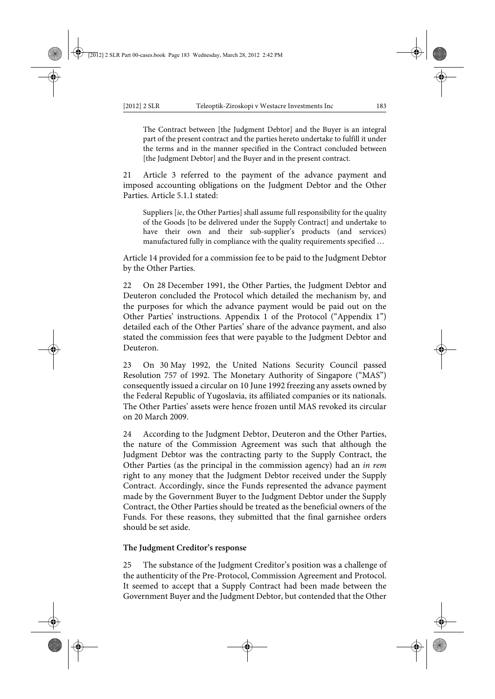The Contract between [the Judgment Debtor] and the Buyer is an integral part of the present contract and the parties hereto undertake to fulfill it under the terms and in the manner specified in the Contract concluded between [the Judgment Debtor] and the Buyer and in the present contract.

21 Article 3 referred to the payment of the advance payment and imposed accounting obligations on the Judgment Debtor and the Other Parties. Article 5.1.1 stated:

Suppliers [*ie*, the Other Parties] shall assume full responsibility for the quality of the Goods [to be delivered under the Supply Contract] and undertake to have their own and their sub-supplier's products (and services) manufactured fully in compliance with the quality requirements specified …

Article 14 provided for a commission fee to be paid to the Judgment Debtor by the Other Parties.

22 On 28 December 1991, the Other Parties, the Judgment Debtor and Deuteron concluded the Protocol which detailed the mechanism by, and the purposes for which the advance payment would be paid out on the Other Parties' instructions. Appendix 1 of the Protocol ("Appendix 1") detailed each of the Other Parties' share of the advance payment, and also stated the commission fees that were payable to the Judgment Debtor and Deuteron.

23 On 30 May 1992, the United Nations Security Council passed Resolution 757 of 1992. The Monetary Authority of Singapore ("MAS") consequently issued a circular on 10 June 1992 freezing any assets owned by the Federal Republic of Yugoslavia, its affiliated companies or its nationals. The Other Parties' assets were hence frozen until MAS revoked its circular on 20 March 2009.

24 According to the Judgment Debtor, Deuteron and the Other Parties, the nature of the Commission Agreement was such that although the Judgment Debtor was the contracting party to the Supply Contract, the Other Parties (as the principal in the commission agency) had an *in rem* right to any money that the Judgment Debtor received under the Supply Contract. Accordingly, since the Funds represented the advance payment made by the Government Buyer to the Judgment Debtor under the Supply Contract, the Other Parties should be treated as the beneficial owners of the Funds. For these reasons, they submitted that the final garnishee orders should be set aside.

### **The Judgment Creditor's response**

25 The substance of the Judgment Creditor's position was a challenge of the authenticity of the Pre-Protocol, Commission Agreement and Protocol. It seemed to accept that a Supply Contract had been made between the Government Buyer and the Judgment Debtor, but contended that the Other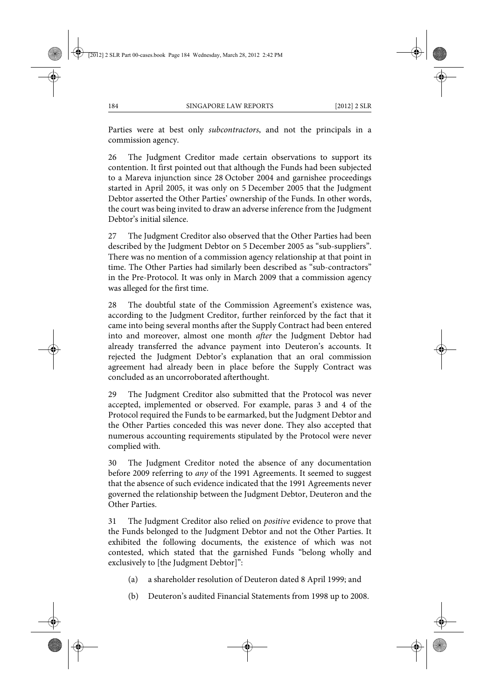Parties were at best only *subcontractors*, and not the principals in a commission agency.

26 The Judgment Creditor made certain observations to support its contention. It first pointed out that although the Funds had been subjected to a Mareva injunction since 28 October 2004 and garnishee proceedings started in April 2005, it was only on 5 December 2005 that the Judgment Debtor asserted the Other Parties' ownership of the Funds. In other words, the court was being invited to draw an adverse inference from the Judgment Debtor's initial silence.

27 The Judgment Creditor also observed that the Other Parties had been described by the Judgment Debtor on 5 December 2005 as "sub-suppliers". There was no mention of a commission agency relationship at that point in time. The Other Parties had similarly been described as "sub-contractors" in the Pre-Protocol. It was only in March 2009 that a commission agency was alleged for the first time.

28 The doubtful state of the Commission Agreement's existence was, according to the Judgment Creditor, further reinforced by the fact that it came into being several months after the Supply Contract had been entered into and moreover, almost one month *after* the Judgment Debtor had already transferred the advance payment into Deuteron's accounts. It rejected the Judgment Debtor's explanation that an oral commission agreement had already been in place before the Supply Contract was concluded as an uncorroborated afterthought.

29 The Judgment Creditor also submitted that the Protocol was never accepted, implemented or observed. For example, paras 3 and 4 of the Protocol required the Funds to be earmarked, but the Judgment Debtor and the Other Parties conceded this was never done. They also accepted that numerous accounting requirements stipulated by the Protocol were never complied with.

30 The Judgment Creditor noted the absence of any documentation before 2009 referring to *any* of the 1991 Agreements. It seemed to suggest that the absence of such evidence indicated that the 1991 Agreements never governed the relationship between the Judgment Debtor, Deuteron and the Other Parties.

31 The Judgment Creditor also relied on *positive* evidence to prove that the Funds belonged to the Judgment Debtor and not the Other Parties. It exhibited the following documents, the existence of which was not contested, which stated that the garnished Funds "belong wholly and exclusively to [the Judgment Debtor]":

(a) a shareholder resolution of Deuteron dated 8 April 1999; and

(b) Deuteron's audited Financial Statements from 1998 up to 2008.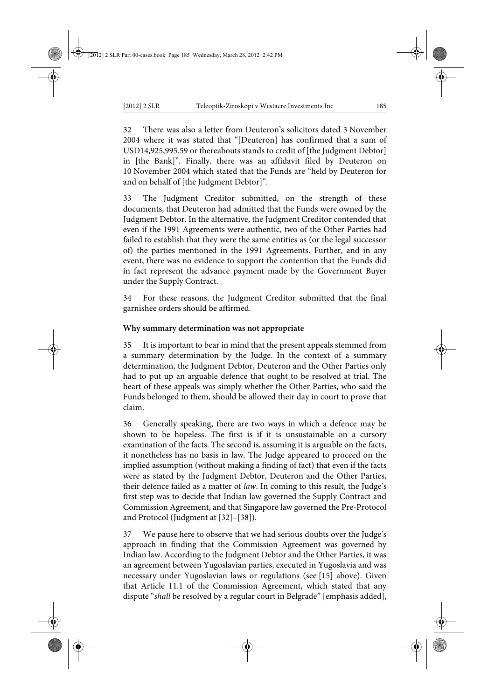32 There was also a letter from Deuteron's solicitors dated 3 November 2004 where it was stated that "[Deuteron] has confirmed that a sum of USD14,925,995.59 or thereabouts stands to credit of [the Judgment Debtor] in [the Bank]". Finally, there was an affidavit filed by Deuteron on 10 November 2004 which stated that the Funds are "held by Deuteron for and on behalf of [the Judgment Debtor]".

33 The Judgment Creditor submitted, on the strength of these documents, that Deuteron had admitted that the Funds were owned by the Judgment Debtor. In the alternative, the Judgment Creditor contended that even if the 1991 Agreements were authentic, two of the Other Parties had failed to establish that they were the same entities as (or the legal successor of) the parties mentioned in the 1991 Agreements. Further, and in any event, there was no evidence to support the contention that the Funds did in fact represent the advance payment made by the Government Buyer under the Supply Contract.

34 For these reasons, the Judgment Creditor submitted that the final garnishee orders should be affirmed.

### **Why summary determination was not appropriate**

35 It is important to bear in mind that the present appeals stemmed from a summary determination by the Judge. In the context of a summary determination, the Judgment Debtor, Deuteron and the Other Parties only had to put up an arguable defence that ought to be resolved at trial. The heart of these appeals was simply whether the Other Parties, who said the Funds belonged to them, should be allowed their day in court to prove that claim.

36 Generally speaking, there are two ways in which a defence may be shown to be hopeless. The first is if it is unsustainable on a cursory examination of the facts. The second is, assuming it is arguable on the facts, it nonetheless has no basis in law. The Judge appeared to proceed on the implied assumption (without making a finding of fact) that even if the facts were as stated by the Judgment Debtor, Deuteron and the Other Parties, their defence failed as a matter of *law*. In coming to this result, the Judge's first step was to decide that Indian law governed the Supply Contract and Commission Agreement, and that Singapore law governed the Pre-Protocol and Protocol (Judgment at [32]–[38]).

37 We pause here to observe that we had serious doubts over the Judge's approach in finding that the Commission Agreement was governed by Indian law. According to the Judgment Debtor and the Other Parties, it was an agreement between Yugoslavian parties, executed in Yugoslavia and was necessary under Yugoslavian laws or regulations (see [15] above). Given that Article 11.1 of the Commission Agreement, which stated that any dispute "*shall* be resolved by a regular court in Belgrade" [emphasis added],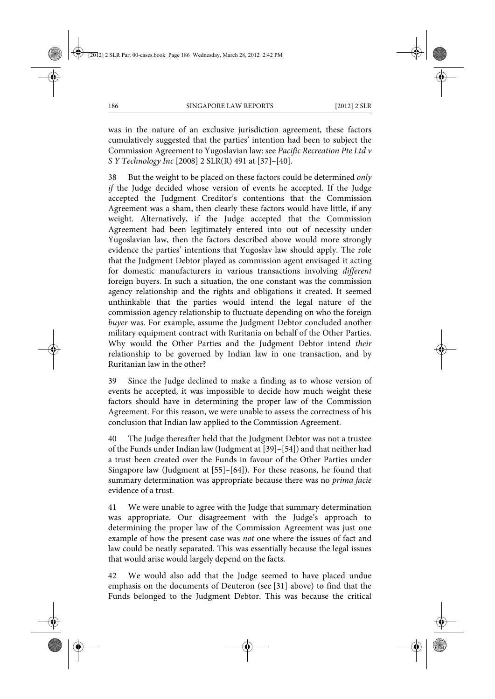was in the nature of an exclusive jurisdiction agreement, these factors cumulatively suggested that the parties' intention had been to subject the Commission Agreement to Yugoslavian law: see *Pacific Recreation Pte Ltd v S Y Technology Inc* [2008] 2 SLR(R) 491 at [37]–[40].

38 But the weight to be placed on these factors could be determined *only if* the Judge decided whose version of events he accepted. If the Judge accepted the Judgment Creditor's contentions that the Commission Agreement was a sham, then clearly these factors would have little, if any weight. Alternatively, if the Judge accepted that the Commission Agreement had been legitimately entered into out of necessity under Yugoslavian law, then the factors described above would more strongly evidence the parties' intentions that Yugoslav law should apply. The role that the Judgment Debtor played as commission agent envisaged it acting for domestic manufacturers in various transactions involving *different* foreign buyers. In such a situation, the one constant was the commission agency relationship and the rights and obligations it created. It seemed unthinkable that the parties would intend the legal nature of the commission agency relationship to fluctuate depending on who the foreign *buyer* was. For example, assume the Judgment Debtor concluded another military equipment contract with Ruritania on behalf of the Other Parties. Why would the Other Parties and the Judgment Debtor intend *their* relationship to be governed by Indian law in one transaction, and by Ruritanian law in the other?

39 Since the Judge declined to make a finding as to whose version of events he accepted, it was impossible to decide how much weight these factors should have in determining the proper law of the Commission Agreement. For this reason, we were unable to assess the correctness of his conclusion that Indian law applied to the Commission Agreement.

40 The Judge thereafter held that the Judgment Debtor was not a trustee of the Funds under Indian law (Judgment at [39]–[54]) and that neither had a trust been created over the Funds in favour of the Other Parties under Singapore law (Judgment at [55]–[64]). For these reasons, he found that summary determination was appropriate because there was no *prima facie* evidence of a trust.

41 We were unable to agree with the Judge that summary determination was appropriate. Our disagreement with the Judge's approach to determining the proper law of the Commission Agreement was just one example of how the present case was *not* one where the issues of fact and law could be neatly separated. This was essentially because the legal issues that would arise would largely depend on the facts.

42 We would also add that the Judge seemed to have placed undue emphasis on the documents of Deuteron (see [31] above) to find that the Funds belonged to the Judgment Debtor. This was because the critical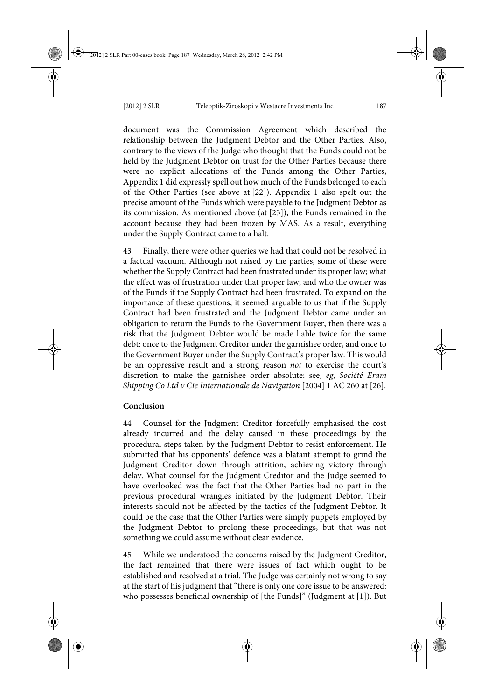document was the Commission Agreement which described the relationship between the Judgment Debtor and the Other Parties. Also, contrary to the views of the Judge who thought that the Funds could not be held by the Judgment Debtor on trust for the Other Parties because there were no explicit allocations of the Funds among the Other Parties, Appendix 1 did expressly spell out how much of the Funds belonged to each of the Other Parties (see above at [22]). Appendix 1 also spelt out the precise amount of the Funds which were payable to the Judgment Debtor as its commission. As mentioned above (at [23]), the Funds remained in the account because they had been frozen by MAS. As a result, everything under the Supply Contract came to a halt.

43 Finally, there were other queries we had that could not be resolved in a factual vacuum. Although not raised by the parties, some of these were whether the Supply Contract had been frustrated under its proper law; what the effect was of frustration under that proper law; and who the owner was of the Funds if the Supply Contract had been frustrated. To expand on the importance of these questions, it seemed arguable to us that if the Supply Contract had been frustrated and the Judgment Debtor came under an obligation to return the Funds to the Government Buyer, then there was a risk that the Judgment Debtor would be made liable twice for the same debt: once to the Judgment Creditor under the garnishee order, and once to the Government Buyer under the Supply Contract's proper law. This would be an oppressive result and a strong reason *not* to exercise the court's discretion to make the garnishee order absolute: see, *eg*, *Société Eram Shipping Co Ltd v Cie Internationale de Navigation* [2004] 1 AC 260 at [26].

### **Conclusion**

Counsel for the Judgment Creditor forcefully emphasised the cost already incurred and the delay caused in these proceedings by the procedural steps taken by the Judgment Debtor to resist enforcement. He submitted that his opponents' defence was a blatant attempt to grind the Judgment Creditor down through attrition, achieving victory through delay. What counsel for the Judgment Creditor and the Judge seemed to have overlooked was the fact that the Other Parties had no part in the previous procedural wrangles initiated by the Judgment Debtor. Their interests should not be affected by the tactics of the Judgment Debtor. It could be the case that the Other Parties were simply puppets employed by the Judgment Debtor to prolong these proceedings, but that was not something we could assume without clear evidence.

45 While we understood the concerns raised by the Judgment Creditor, the fact remained that there were issues of fact which ought to be established and resolved at a trial. The Judge was certainly not wrong to say at the start of his judgment that "there is only one core issue to be answered: who possesses beneficial ownership of [the Funds]" (Judgment at [1]). But